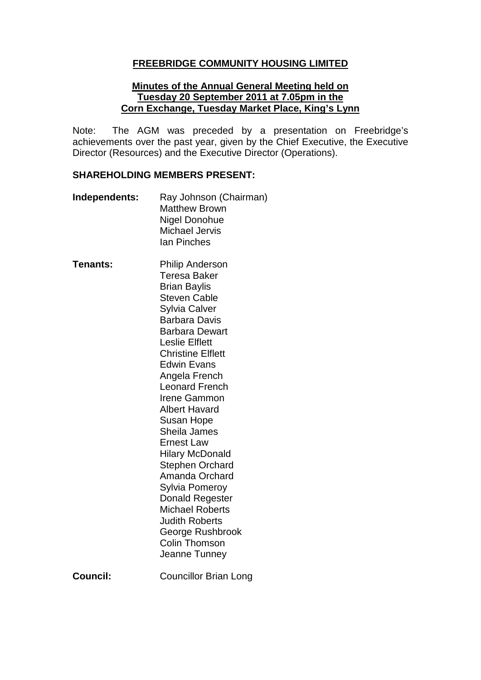### **FREEBRIDGE COMMUNITY HOUSING LIMITED**

#### **Minutes of the Annual General Meeting held on Tuesday 20 September 2011 at 7.05pm in the Corn Exchange, Tuesday Market Place, King's Lynn**

Note: The AGM was preceded by a presentation on Freebridge's achievements over the past year, given by the Chief Executive, the Executive Director (Resources) and the Executive Director (Operations).

#### **SHAREHOLDING MEMBERS PRESENT:**

- **Independents:** Ray Johnson (Chairman) Matthew Brown Nigel Donohue Michael Jervis Ian Pinches
- **Tenants:** Philip Anderson Teresa Baker Brian Baylis Steven Cable Sylvia Calver Barbara Davis Barbara Dewart Leslie Elflett Christine Elflett Edwin Evans Angela French Leonard French Irene Gammon Albert Havard Susan Hope Sheila James Ernest Law Hilary McDonald Stephen Orchard Amanda Orchard Sylvia Pomeroy Donald Regester Michael Roberts Judith Roberts George Rushbrook Colin Thomson Jeanne Tunney **Council:** Councillor Brian Long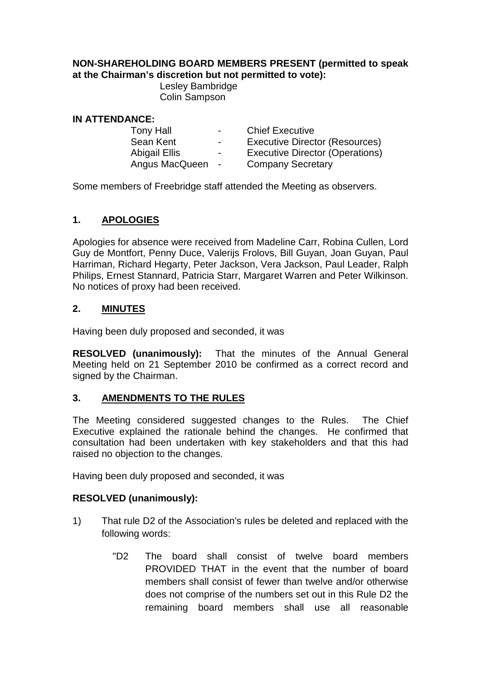### **NON-SHAREHOLDING BOARD MEMBERS PRESENT (permitted to speak at the Chairman's discretion but not permitted to vote):**

Lesley Bambridge Colin Sampson

#### **IN ATTENDANCE:**

| <b>Tony Hall</b>     | $\sim$                   | <b>Chief Executive</b>                 |
|----------------------|--------------------------|----------------------------------------|
| Sean Kent            | $\overline{\phantom{0}}$ | <b>Executive Director (Resources)</b>  |
| <b>Abigail Ellis</b> | $\overline{\phantom{0}}$ | <b>Executive Director (Operations)</b> |
| Angus MacQueen       | $\sim$ $-$               | <b>Company Secretary</b>               |
|                      |                          |                                        |

Some members of Freebridge staff attended the Meeting as observers.

# **1. APOLOGIES**

Apologies for absence were received from Madeline Carr, Robina Cullen, Lord Guy de Montfort, Penny Duce, Valerijs Frolovs, Bill Guyan, Joan Guyan, Paul Harriman, Richard Hegarty, Peter Jackson, Vera Jackson, Paul Leader, Ralph Philips, Ernest Stannard, Patricia Starr, Margaret Warren and Peter Wilkinson. No notices of proxy had been received.

## **2. MINUTES**

Having been duly proposed and seconded, it was

**RESOLVED (unanimously):** That the minutes of the Annual General Meeting held on 21 September 2010 be confirmed as a correct record and signed by the Chairman.

## **3. AMENDMENTS TO THE RULES**

The Meeting considered suggested changes to the Rules. The Chief Executive explained the rationale behind the changes. He confirmed that consultation had been undertaken with key stakeholders and that this had raised no objection to the changes.

Having been duly proposed and seconded, it was

## **RESOLVED (unanimously):**

- 1) That rule D2 of the Association's rules be deleted and replaced with the following words:
	- "D2 The board shall consist of twelve board members PROVIDED THAT in the event that the number of board members shall consist of fewer than twelve and/or otherwise does not comprise of the numbers set out in this Rule D2 the remaining board members shall use all reasonable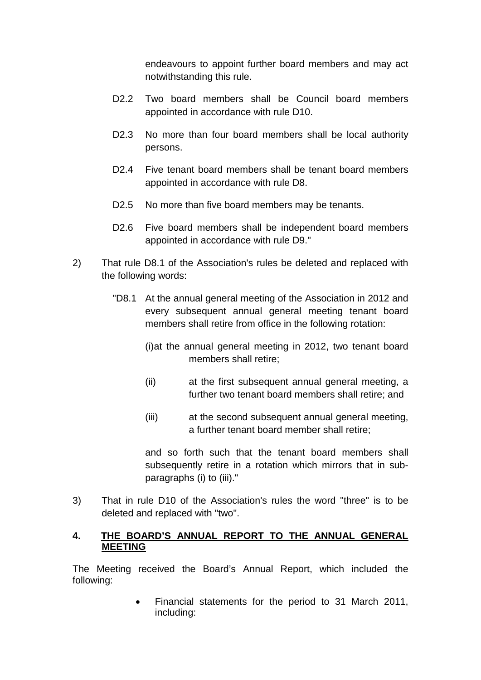endeavours to appoint further board members and may act notwithstanding this rule.

- D2.2 Two board members shall be Council board members appointed in accordance with rule D10.
- D2.3 No more than four board members shall be local authority persons.
- D2.4 Five tenant board members shall be tenant board members appointed in accordance with rule D8.
- D2.5 No more than five board members may be tenants.
- D2.6 Five board members shall be independent board members appointed in accordance with rule D9."
- 2) That rule D8.1 of the Association's rules be deleted and replaced with the following words:
	- "D8.1 At the annual general meeting of the Association in 2012 and every subsequent annual general meeting tenant board members shall retire from office in the following rotation:
		- (i)at the annual general meeting in 2012, two tenant board members shall retire;
		- (ii) at the first subsequent annual general meeting, a further two tenant board members shall retire; and
		- (iii) at the second subsequent annual general meeting, a further tenant board member shall retire;

and so forth such that the tenant board members shall subsequently retire in a rotation which mirrors that in subparagraphs (i) to (iii)."

3) That in rule D10 of the Association's rules the word "three" is to be deleted and replaced with "two".

### **4. THE BOARD'S ANNUAL REPORT TO THE ANNUAL GENERAL MEETING**

The Meeting received the Board's Annual Report, which included the following:

> • Financial statements for the period to 31 March 2011, including: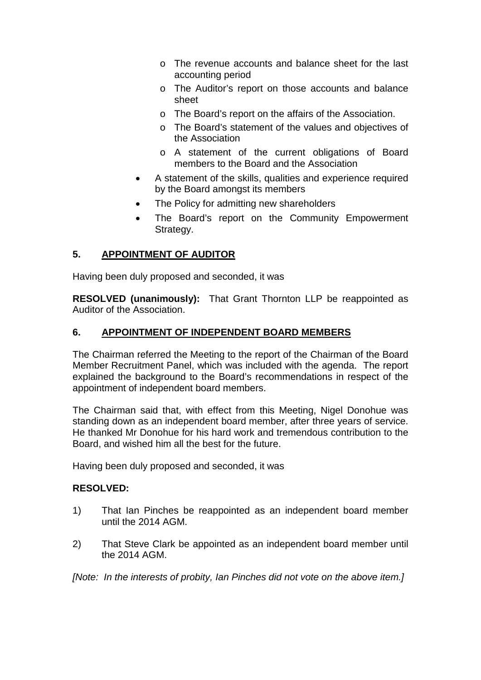- o The revenue accounts and balance sheet for the last accounting period
- o The Auditor's report on those accounts and balance sheet
- o The Board's report on the affairs of the Association.
- o The Board's statement of the values and objectives of the Association
- o A statement of the current obligations of Board members to the Board and the Association
- A statement of the skills, qualities and experience required by the Board amongst its members
- The Policy for admitting new shareholders
- The Board's report on the Community Empowerment Strategy.

## **5. APPOINTMENT OF AUDITOR**

Having been duly proposed and seconded, it was

**RESOLVED (unanimously):** That Grant Thornton LLP be reappointed as Auditor of the Association.

### **6. APPOINTMENT OF INDEPENDENT BOARD MEMBERS**

The Chairman referred the Meeting to the report of the Chairman of the Board Member Recruitment Panel, which was included with the agenda. The report explained the background to the Board's recommendations in respect of the appointment of independent board members.

The Chairman said that, with effect from this Meeting, Nigel Donohue was standing down as an independent board member, after three years of service. He thanked Mr Donohue for his hard work and tremendous contribution to the Board, and wished him all the best for the future.

Having been duly proposed and seconded, it was

#### **RESOLVED:**

- 1) That Ian Pinches be reappointed as an independent board member until the 2014 AGM.
- 2) That Steve Clark be appointed as an independent board member until the 2014 AGM.

*[Note: In the interests of probity, Ian Pinches did not vote on the above item.]*